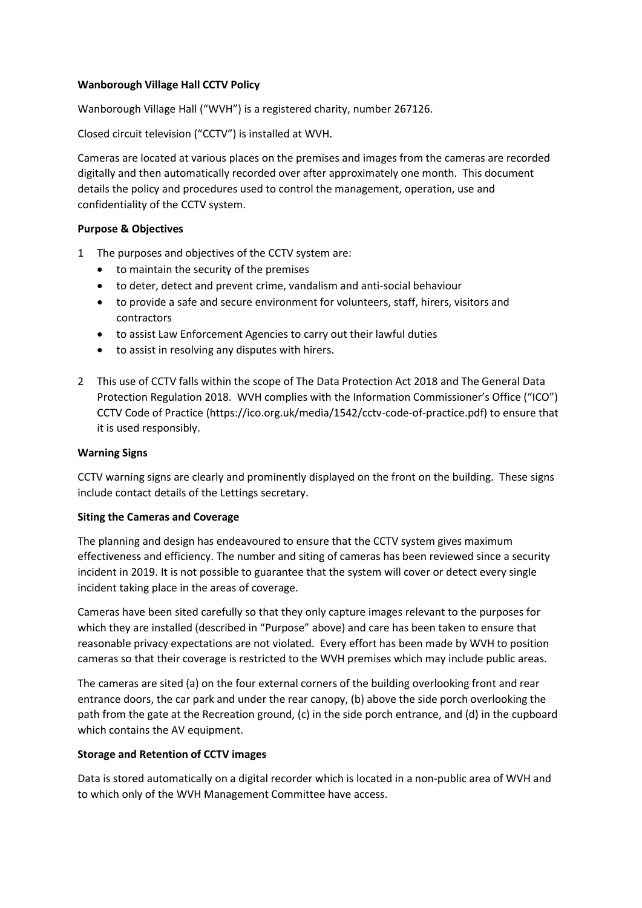## **Wanborough Village Hall CCTV Policy**

Wanborough Village Hall ("WVH") is a registered charity, number 267126.

Closed circuit television ("CCTV") is installed at WVH.

Cameras are located at various places on the premises and images from the cameras are recorded digitally and then automatically recorded over after approximately one month. This document details the policy and procedures used to control the management, operation, use and confidentiality of the CCTV system.

## **Purpose & Objectives**

- 1 The purposes and objectives of the CCTV system are:
	- to maintain the security of the premises
	- to deter, detect and prevent crime, vandalism and anti-social behaviour
	- to provide a safe and secure environment for volunteers, staff, hirers, visitors and contractors
	- to assist Law Enforcement Agencies to carry out their lawful duties
	- to assist in resolving any disputes with hirers.
- 2 This use of CCTV falls within the scope of The Data Protection Act 2018 and The General Data Protection Regulation 2018. WVH complies with the Information Commissioner's Office ("ICO") CCTV Code of Practice (https://ico.org.uk/media/1542/cctv-code-of-practice.pdf) to ensure that it is used responsibly.

#### **Warning Signs**

CCTV warning signs are clearly and prominently displayed on the front on the building. These signs include contact details of the Lettings secretary.

#### **Siting the Cameras and Coverage**

The planning and design has endeavoured to ensure that the CCTV system gives maximum effectiveness and efficiency. The number and siting of cameras has been reviewed since a security incident in 2019. It is not possible to guarantee that the system will cover or detect every single incident taking place in the areas of coverage.

Cameras have been sited carefully so that they only capture images relevant to the purposes for which they are installed (described in "Purpose" above) and care has been taken to ensure that reasonable privacy expectations are not violated. Every effort has been made by WVH to position cameras so that their coverage is restricted to the WVH premises which may include public areas.

The cameras are sited (a) on the four external corners of the building overlooking front and rear entrance doors, the car park and under the rear canopy, (b) above the side porch overlooking the path from the gate at the Recreation ground, (c) in the side porch entrance, and (d) in the cupboard which contains the AV equipment.

#### **Storage and Retention of CCTV images**

Data is stored automatically on a digital recorder which is located in a non-public area of WVH and to which only of the WVH Management Committee have access.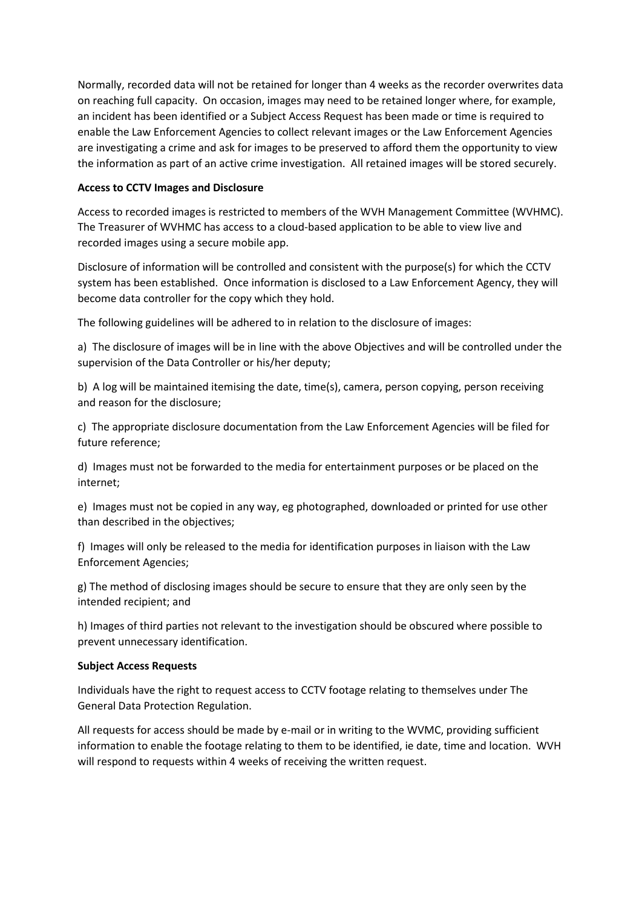Normally, recorded data will not be retained for longer than 4 weeks as the recorder overwrites data on reaching full capacity. On occasion, images may need to be retained longer where, for example, an incident has been identified or a Subject Access Request has been made or time is required to enable the Law Enforcement Agencies to collect relevant images or the Law Enforcement Agencies are investigating a crime and ask for images to be preserved to afford them the opportunity to view the information as part of an active crime investigation. All retained images will be stored securely.

### **Access to CCTV Images and Disclosure**

Access to recorded images is restricted to members of the WVH Management Committee (WVHMC). The Treasurer of WVHMC has access to a cloud-based application to be able to view live and recorded images using a secure mobile app.

Disclosure of information will be controlled and consistent with the purpose(s) for which the CCTV system has been established. Once information is disclosed to a Law Enforcement Agency, they will become data controller for the copy which they hold.

The following guidelines will be adhered to in relation to the disclosure of images:

a) The disclosure of images will be in line with the above Objectives and will be controlled under the supervision of the Data Controller or his/her deputy;

b) A log will be maintained itemising the date, time(s), camera, person copying, person receiving and reason for the disclosure;

c) The appropriate disclosure documentation from the Law Enforcement Agencies will be filed for future reference;

d) Images must not be forwarded to the media for entertainment purposes or be placed on the internet;

e) Images must not be copied in any way, eg photographed, downloaded or printed for use other than described in the objectives;

f) Images will only be released to the media for identification purposes in liaison with the Law Enforcement Agencies;

g) The method of disclosing images should be secure to ensure that they are only seen by the intended recipient; and

h) Images of third parties not relevant to the investigation should be obscured where possible to prevent unnecessary identification.

#### **Subject Access Requests**

Individuals have the right to request access to CCTV footage relating to themselves under The General Data Protection Regulation.

All requests for access should be made by e-mail or in writing to the WVMC, providing sufficient information to enable the footage relating to them to be identified, ie date, time and location. WVH will respond to requests within 4 weeks of receiving the written request.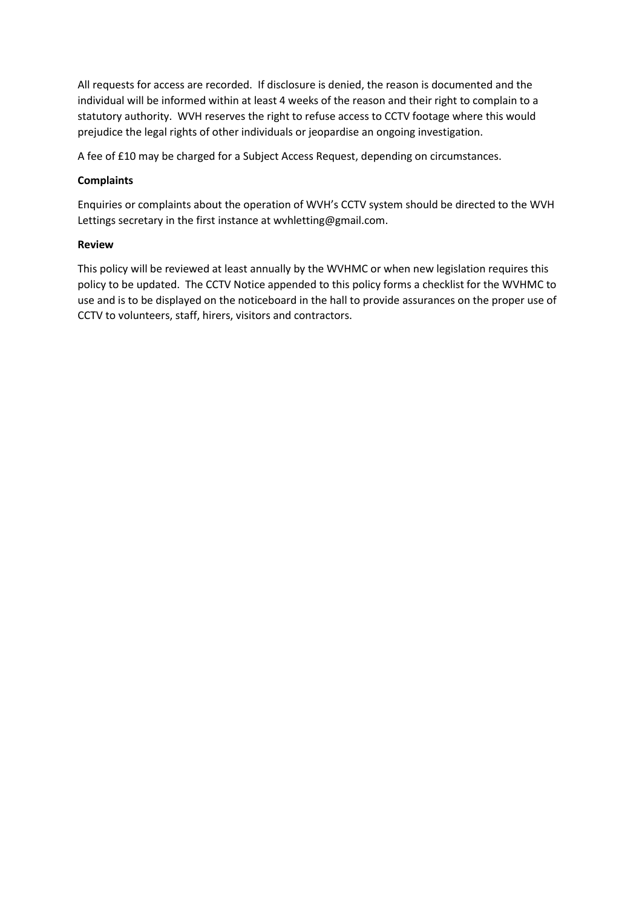All requests for access are recorded. If disclosure is denied, the reason is documented and the individual will be informed within at least 4 weeks of the reason and their right to complain to a statutory authority. WVH reserves the right to refuse access to CCTV footage where this would prejudice the legal rights of other individuals or jeopardise an ongoing investigation.

A fee of £10 may be charged for a Subject Access Request, depending on circumstances.

# **Complaints**

Enquiries or complaints about the operation of WVH's CCTV system should be directed to the WVH Lettings secretary in the first instance at wvhletting@gmail.com.

## **Review**

This policy will be reviewed at least annually by the WVHMC or when new legislation requires this policy to be updated. The CCTV Notice appended to this policy forms a checklist for the WVHMC to use and is to be displayed on the noticeboard in the hall to provide assurances on the proper use of CCTV to volunteers, staff, hirers, visitors and contractors.